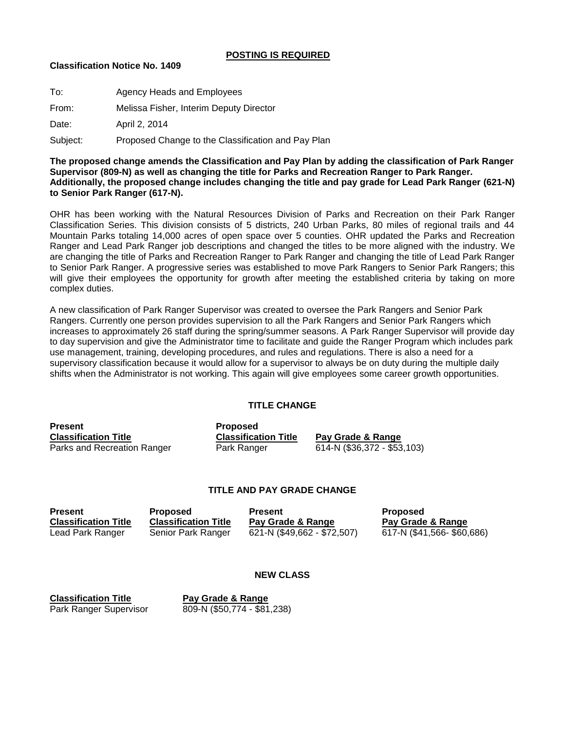# **POSTING IS REQUIRED**

### **Classification Notice No. 1409**

| To:      | Agency Heads and Employees                         |
|----------|----------------------------------------------------|
| From:    | Melissa Fisher, Interim Deputy Director            |
| Date:    | April 2, 2014                                      |
| Subject: | Proposed Change to the Classification and Pay Plan |

**The proposed change amends the Classification and Pay Plan by adding the classification of Park Ranger Supervisor (809-N) as well as changing the title for Parks and Recreation Ranger to Park Ranger. Additionally, the proposed change includes changing the title and pay grade for Lead Park Ranger (621-N) to Senior Park Ranger (617-N).**

OHR has been working with the Natural Resources Division of Parks and Recreation on their Park Ranger Classification Series. This division consists of 5 districts, 240 Urban Parks, 80 miles of regional trails and 44 Mountain Parks totaling 14,000 acres of open space over 5 counties. OHR updated the Parks and Recreation Ranger and Lead Park Ranger job descriptions and changed the titles to be more aligned with the industry. We are changing the title of Parks and Recreation Ranger to Park Ranger and changing the title of Lead Park Ranger to Senior Park Ranger. A progressive series was established to move Park Rangers to Senior Park Rangers; this will give their employees the opportunity for growth after meeting the established criteria by taking on more complex duties.

A new classification of Park Ranger Supervisor was created to oversee the Park Rangers and Senior Park Rangers. Currently one person provides supervision to all the Park Rangers and Senior Park Rangers which increases to approximately 26 staff during the spring/summer seasons. A Park Ranger Supervisor will provide day to day supervision and give the Administrator time to facilitate and guide the Ranger Program which includes park use management, training, developing procedures, and rules and regulations. There is also a need for a supervisory classification because it would allow for a supervisor to always be on duty during the multiple daily shifts when the Administrator is not working. This again will give employees some career growth opportunities.

# **TITLE CHANGE**

| <b>Present</b>              | <b>Proposed</b>             |                             |
|-----------------------------|-----------------------------|-----------------------------|
| <b>Classification Title</b> | <b>Classification Title</b> | Pay Grade & Range           |
| Parks and Recreation Ranger | Park Ranger                 | 614-N (\$36,372 - \$53,103) |

# **TITLE AND PAY GRADE CHANGE**

| <b>Present</b>              | Proposed                    | <b>Present</b>              | <b>Proposed</b>            |
|-----------------------------|-----------------------------|-----------------------------|----------------------------|
| <b>Classification Title</b> | <b>Classification Title</b> | Pay Grade & Range           | Pay Grade & Range          |
| Lead Park Ranger            | Senior Park Ranger          | 621-N (\$49,662 - \$72,507) | 617-N (\$41,566- \$60,686) |

### **NEW CLASS**

**Classification Title Pay Grade & Range**

Park Ranger Supervisor 809-N (\$50,774 - \$81,238)